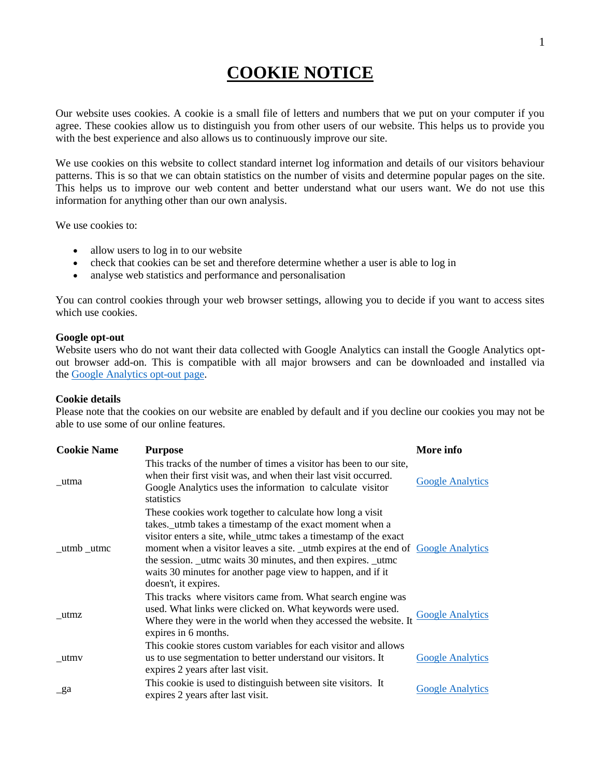## **COOKIE NOTICE**

Our website uses cookies. A cookie is a small file of letters and numbers that we put on your computer if you agree. These cookies allow us to distinguish you from other users of our website. This helps us to provide you with the best experience and also allows us to continuously improve our site.

We use cookies on this website to collect standard internet log information and details of our visitors behaviour patterns. This is so that we can obtain statistics on the number of visits and determine popular pages on the site. This helps us to improve our web content and better understand what our users want. We do not use this information for anything other than our own analysis.

We use cookies to:

- allow users to log in to our website
- check that cookies can be set and therefore determine whether a user is able to log in
- analyse web statistics and performance and personalisation

You can control cookies through your web browser settings, allowing you to decide if you want to access sites which use cookies.

## **Google opt-out**

Website users who do not want their data collected with Google Analytics can install the Google Analytics optout browser add-on. This is compatible with all major browsers and can be downloaded and installed via the [Google Analytics opt-out page.](http://tools.google.com/dlpage/gaoptout)

## **Cookie details**

Please note that the cookies on our website are enabled by default and if you decline our cookies you may not be able to use some of our online features.

| <b>Cookie Name</b>            | <b>Purpose</b>                                                                                                                                                                                                                                                                                                                                                                                                                        | More info               |
|-------------------------------|---------------------------------------------------------------------------------------------------------------------------------------------------------------------------------------------------------------------------------------------------------------------------------------------------------------------------------------------------------------------------------------------------------------------------------------|-------------------------|
| utma                          | This tracks of the number of times a visitor has been to our site,<br>when their first visit was, and when their last visit occurred.<br>Google Analytics uses the information to calculate visitor<br>statistics                                                                                                                                                                                                                     | <b>Google Analytics</b> |
| $_{\text{uumb}\_\text{utmc}}$ | These cookies work together to calculate how long a visit<br>takes. utmb takes a timestamp of the exact moment when a<br>visitor enters a site, while_utmc takes a timestamp of the exact<br>moment when a visitor leaves a site. _utmb expires at the end of Google Analytics<br>the session. _utmc waits 30 minutes, and then expires. _utmc<br>waits 30 minutes for another page view to happen, and if it<br>doesn't, it expires. |                         |
| utmz                          | This tracks where visitors came from. What search engine was<br>used. What links were clicked on. What keywords were used.<br>Where they were in the world when they accessed the website. It<br>expires in 6 months.                                                                                                                                                                                                                 | <b>Google Analytics</b> |
| utmv                          | This cookie stores custom variables for each visitor and allows<br>us to use segmentation to better understand our visitors. It<br>expires 2 years after last visit.                                                                                                                                                                                                                                                                  | <b>Google Analytics</b> |
| $\mathbf{a}$                  | This cookie is used to distinguish between site visitors. It<br>expires 2 years after last visit.                                                                                                                                                                                                                                                                                                                                     | <b>Google Analytics</b> |